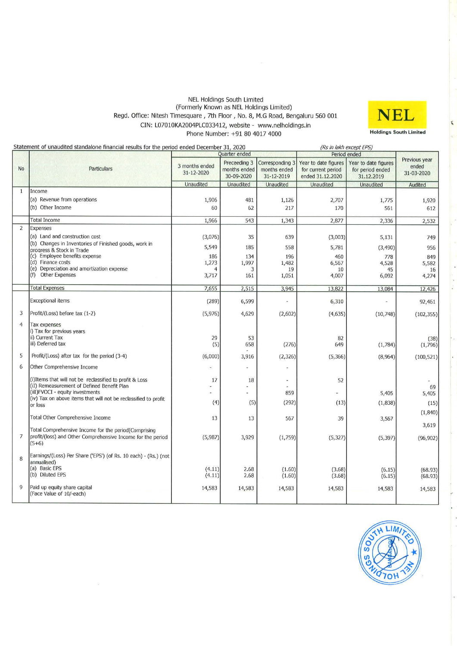#### NEL Holdings South Limited **(Formerly Known as NEL Holdings Limited)**  Regd. Office: Nitesh Timesquare, 7th Floor, No. 8, M.G Road, Bengaluru 560 001 CIN: L07010KA2004PLC033412, website - www.nelholdings.in Phone Number: +91 80 4017 4000



|                     | Statement of unaudited standalone financial results for the period ended December 31, 2020                                                                                                                    |                              |                                            |                                               | (Rs in lakh except EPS)                                        |                                                        |                                      |
|---------------------|---------------------------------------------------------------------------------------------------------------------------------------------------------------------------------------------------------------|------------------------------|--------------------------------------------|-----------------------------------------------|----------------------------------------------------------------|--------------------------------------------------------|--------------------------------------|
|                     |                                                                                                                                                                                                               |                              | Quarter ended                              |                                               | Period ended                                                   |                                                        |                                      |
| No                  | Particulars                                                                                                                                                                                                   | 3 months ended<br>31-12-2020 | Preceeding 3<br>months ended<br>30-09-2020 | Corresponding 3<br>months ended<br>31-12-2019 | Year to date figures<br>for current period<br>ended 31.12.2020 | Year to date figures<br>for period ended<br>31.12.2019 | Previous year<br>ended<br>31-03-2020 |
|                     |                                                                                                                                                                                                               | Unaudited                    | Unaudited                                  | Unaudited                                     | <b>Unaudited</b>                                               | <b>Unaudited</b>                                       | Audited                              |
| 1                   | Income<br>(a) Revenue from operations<br>(b) Other Income                                                                                                                                                     | 1,906<br>60                  | 481<br>62                                  | 1,126<br>217                                  | 2,707<br>170                                                   | 1,775<br>561                                           | 1,920<br>612                         |
|                     | <b>Total Income</b>                                                                                                                                                                                           | 1,966                        | 543                                        | 1,343                                         | 2,877                                                          | 2,336                                                  | 2,532                                |
| $\overline{2}$      | Expenses                                                                                                                                                                                                      |                              |                                            |                                               |                                                                |                                                        |                                      |
|                     | (a) Land and construction cost<br>(b) Changes in Inventories of Finished goods, work in                                                                                                                       | (3,076)                      | 35                                         | 639                                           | (3,003)                                                        | 5,131                                                  | 749                                  |
|                     | progress & Stock in Trade                                                                                                                                                                                     | 5,549                        | 185                                        | 558                                           | 5,781                                                          | (3, 490)                                               | 956                                  |
|                     | (c) Employee benefits expense                                                                                                                                                                                 | 186                          | 134                                        | 196                                           | 460                                                            | 778                                                    | 849                                  |
|                     | (d) Finance costs<br>(e) Depreciation and amortization expense                                                                                                                                                | 1,273                        | 1,997<br>3                                 | 1,482<br>19                                   | 6,567<br>10                                                    | 4,528<br>45                                            | 5,582<br>16                          |
|                     | (f) Other Expenses                                                                                                                                                                                            | 3,717                        | 161                                        | 1,051                                         | 4,007                                                          | 6,092                                                  | 4,274                                |
|                     | <b>Total Expenses</b>                                                                                                                                                                                         | 7,655                        | 2,515                                      | 3,945                                         | 13,822                                                         | 13,084                                                 | 12,426                               |
|                     | <b>Exceptional items</b>                                                                                                                                                                                      | (289)                        | 6,599                                      |                                               | 6,310                                                          |                                                        | 92,461                               |
| 3                   | Profit/(Loss) before tax (1-2)                                                                                                                                                                                | (5,976)                      | 4,629                                      | (2,602)                                       | (4,635)                                                        | (10, 748)                                              | (102, 355)                           |
| $\overline{4}$<br>5 | Tax expenses<br>i) Tax for previous years<br>ii) Current Tax<br>iii) Deferred tax<br>Profit/(Loss) after tax for the period (3-4)                                                                             | 29<br>(5)<br>(6,000)         | 53<br>658<br>3,916                         | (276)<br>(2, 326)                             | 82<br>649<br>(5,366)                                           | (1,784)<br>(8,964)                                     | (38)<br>(1,796)<br>(100, 521)        |
|                     |                                                                                                                                                                                                               |                              |                                            |                                               |                                                                |                                                        |                                      |
| 6                   | Other Comprehensive Income                                                                                                                                                                                    |                              |                                            |                                               |                                                                |                                                        |                                      |
|                     | (i) Items that will not be reclassified to profit & Loss<br>(iI) Remeasurement of Defined Benefit Plan<br>(iiI) FVOCI - equity investments<br>(iv) Tax on above items that will not be reclassified to profit | 17<br>(4)                    | 18<br>(5)                                  | 拦<br>859<br>(292)                             | 52<br>(13)                                                     | 5,405<br>(1, 838)                                      | 69<br>5,405<br>(15)                  |
|                     | or loss                                                                                                                                                                                                       |                              |                                            |                                               |                                                                |                                                        |                                      |
|                     | <b>Total Other Comprehensive Income</b>                                                                                                                                                                       | 13                           | 13                                         | 567                                           | 39                                                             | 3,567                                                  | (1,840)<br>3,619                     |
| $\overline{7}$      | Total Comprehensive Income for the period Comprising<br>profit/(loss) and Other Comprehensive Income for the period<br>$(5+6)$                                                                                | (5,987)                      | 3,929                                      | (1,759)                                       | (5, 327)                                                       | (5, 397)                                               | (96, 902)                            |
| 8                   | Earnings/(Loss) Per Share ('EPS') (of Rs. 10 each) - (Rs.) (not<br>annualised)<br>(a) Basic EPS<br>(b) Diluted EPS                                                                                            | (4.11)<br>(4.11)             | 2.68<br>2.68                               | (1.60)<br>(1.60)                              | (3.68)<br>(3.68)                                               | (6.15)<br>(6.15)                                       | (68.93)<br>(68.93)                   |
| 9                   | Paid up equity share capital<br>(Face Value of 10/-each)                                                                                                                                                      | 14,583                       | 14,583                                     | 14,583                                        | 14,583                                                         | 14,583                                                 | 14,583                               |

 $\tilde{u}$ 

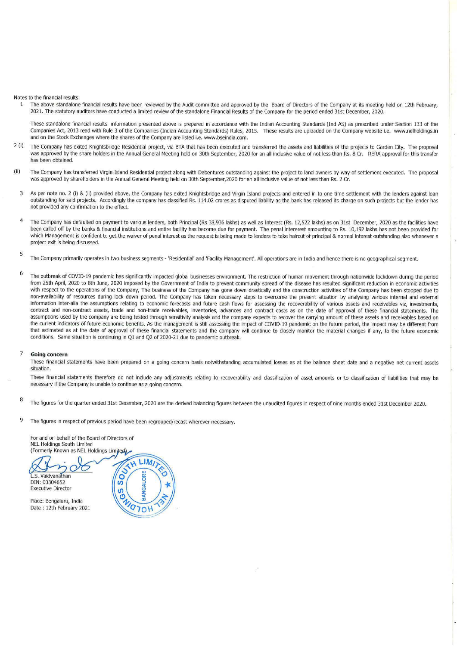Notes to the financial results:

1 The above standalone financial results have been reviewed by the Audit committee and approved by the Board of Directors of the Company at its meeting held on 12th February, 2021. The statutory auditors have conducted a limited review of the standalone Financial Results of the Company for the period ended 31st December, 2020.

These standalone financial results information presented above is prepared in accordance with the Indian Accounting Standards (Ind AS) as prescribed under Section 133 of the Companies Act, 2013 read with Rule 3 of the Companies (Indian Accounting Standards) Rules, 2015. These results are uploaded on the Company website i.e. www.nelholdings.in and on the Stock Exchanges where the shares of the Company are listed i.e. www.bseindia.com.

- 2 (i) The Company has exited Knightsbridge Residential project, via BTA that has been executed and transferred the assets and liabilities of the projects to Garden City. The proposal was approved by the share holders in the Annual General Meeting held on 30th September, 2020 for an all inclusive value of not less than Rs. 8 Cr. RERA approval for this transfer has been obtained.
- (ii) The Company has transferred Virgin Island Residential project along with Debentures outstanding against the project to land owners by way of settlement executed. The proposal was approved by shareholders in the Annual General Meeting held on 30th September,2020 for an all inclusive value of not less than Rs. 2 Cr.
	- 3 As per note no. 2 (i) & (ii) provided above, the Company has exited Knightsbridge and Virgin Island projects and entered in to one time settlement with the lenders against loan outstanding for said projects. Accordingly the company has classified Rs. 114.02 crores as disputed liability as the bank has released its charge on such projects but the lender has not provided any confirmation to the effect.
	- 4 The Company has defaulted on payment to various lenders, both Principal (Rs 38,936 lakhs) as well as Interest (Rs. 12,522 lakhs) as on 31st December, 2020 as the facilities have been called off by the banks & financial institutions and entire facility has become due for payment. The penal intererest amounting to Rs. 10,192 lakhs has not been provided for which Management is confident to get the waiver of penal interest as the request is being made to lenders to take haircut of principal & normal interest outstanding also whenever a project exit is being discussed.
	- 5 The Company primarily operates in two business segments - 'Residential' and 'Facility Management'. All operations are in India and hence there is no geographical segment.
	- 6 The outbreak. of COVID-19 pandemic has significantly impacted global businesses environment. The restriction of human movement through nationwide lockdown during the period from 25th April, 2020 to 8th June, 2020 imposed by the Government of India to prevent community spread of the disease has resulted Significant reduction in economic activities with respect to the operations of the Company, The business of the Company has gone down drastically and the construction activities of the Company has been stopped due to non-availability of resources during lock down period. The Company has taken necessary steps to overcome the present situation by analysing various internal and external information inter-alia the assumptions relating to economic forecasts and future cash flows for assessing the recoverability of various assets and receivables viz, investments, contract and non-contract assets, trade and non-trade receivables, inventories, advances and contract costs as on the date of approval of these financial statements. The assumptions used by the company are being tested through sensitivity analysis and the company expects to recover the carrying amount of these assets and receivables based on the current indicators of future economic benefits. As the management is still assessing the impact of COVID-19 pandemic on the future period, the impact may be different from that estimated as at the date of approval of these financial statements and the company will continue to closely monitor the material changes if any, to the future economic conditions. Same situation is continuing in Ql and Q2 of 2020-21 due to pandemic outbreak.

#### 7 **Going concern**

These financial statements have been prepared on a going concern basis notwithstanding accumulated losses as at the balance sheet date and a negative net current assets **situation.** 

These financial statements therefore do not include any adjustments relating to recoverability and classification of asset amounts or to classification of liabilities that may be necessary if the Company is unable to continue as a going concern.

- 8 The figures for the quarter ended 31st December, 2020 are the derived balancing figures between the unaudited figures in respect of nine months ended 31st December 2020.
- 9 The figures in respect of previous period have been regrouped/recast wherever necessary.

For and on behalf of the Board of Directors of **NEL Holdings South Limited** (Formerly Known as NEL Holdings Limited)

L.S. Vaidvanathan DIN: 00304652 **Executive Director** 

Place: Bengaluru, India Date: 12th February 2021

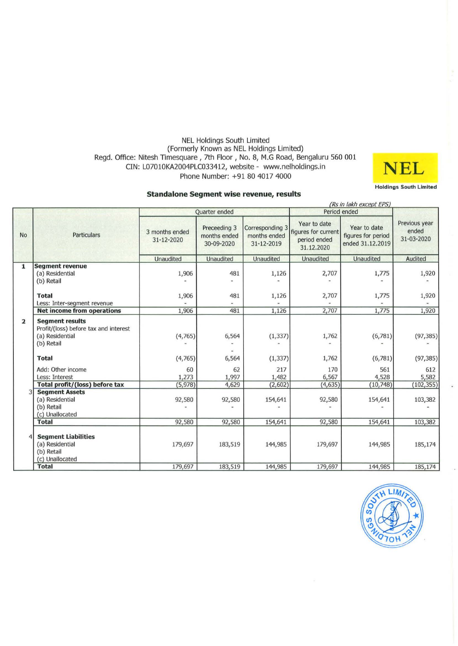# NEL Holdings South Limited (Formerly Known as NEL Holdings Limited) Regd. Office: Nitesh Timesquare, 7th Floor, No. 8, M.G Road, Bengaluru 560 001 CIN: L07010KA2004PLC033412, website - www.nelholdings.in Phone Number: +91 80 4017 4000 **NEL**



#### **Standalone Segment wise revenue, results**

|                |                                                                                    |                              |                                            |                                               | (Rs in lakh except EPS)                                           |                                                        |                                      |
|----------------|------------------------------------------------------------------------------------|------------------------------|--------------------------------------------|-----------------------------------------------|-------------------------------------------------------------------|--------------------------------------------------------|--------------------------------------|
|                | <b>Particulars</b>                                                                 |                              | <b>Ouarter</b> ended                       |                                               | Period ended                                                      |                                                        |                                      |
| <b>No</b>      |                                                                                    | 3 months ended<br>31-12-2020 | Preceeding 3<br>months ended<br>30-09-2020 | Corresponding 3<br>months ended<br>31-12-2019 | Year to date<br>figures for current<br>period ended<br>31.12.2020 | Year to date<br>figures for period<br>ended 31.12.2019 | Previous year<br>ended<br>31-03-2020 |
|                |                                                                                    | Unaudited                    | <b>Unaudited</b>                           | <b>Unaudited</b>                              | <b>Unaudited</b>                                                  | <b>Unaudited</b>                                       | Audited                              |
| 1              | <b>Segment revenue</b>                                                             |                              |                                            |                                               |                                                                   |                                                        |                                      |
|                | (a) Residential                                                                    | 1,906                        | 481                                        | 1,126                                         | 2,707                                                             | 1,775                                                  | 1,920                                |
|                | (b) Retail                                                                         |                              |                                            |                                               |                                                                   |                                                        |                                      |
|                | <b>Total</b>                                                                       | 1,906                        | 481                                        | 1,126                                         | 2,707                                                             | 1,775                                                  | 1,920                                |
|                | Less: Inter-segment revenue                                                        |                              |                                            |                                               |                                                                   |                                                        |                                      |
|                | <b>Net income from operations</b>                                                  | 1,906                        | 481                                        | 1,126                                         | 2,707                                                             | 1,775                                                  | 1,920                                |
| $\overline{2}$ | <b>Segment results</b><br>Profit/(loss) before tax and interest<br>(a) Residential | (4,765)                      | 6,564                                      | (1, 337)                                      | 1,762                                                             | (6,781)                                                | (97, 385)                            |
|                | (b) Retail                                                                         |                              |                                            |                                               |                                                                   |                                                        |                                      |
|                | <b>Total</b>                                                                       | (4,765)                      | 6,564                                      | (1, 337)                                      | 1,762                                                             | (6, 781)                                               | (97, 385)                            |
|                | Add: Other income                                                                  | 60                           | 62                                         | 217                                           | 170                                                               | 561                                                    | 612                                  |
|                | Less: Interest                                                                     | 1,273                        | 1,997                                      | 1,482                                         | 6,567                                                             | 4,528                                                  | 5,582                                |
|                | Total profit/(loss) before tax                                                     | (5, 978)                     | 4,629                                      | (2, 602)                                      | (4,635)                                                           | (10, 748)                                              | (102, 355)                           |
|                | <b>Segment Assets</b><br>(a) Residential<br>(b) Retail<br>(c) Unallocated          | 92,580                       | 92,580                                     | 154,641                                       | 92,580                                                            | 154,641                                                | 103,382                              |
|                | <b>Total</b>                                                                       | 92,580                       | 92,580                                     | 154,641                                       | 92,580                                                            | 154,641                                                | 103,382                              |
|                | <b>Segment Liabilities</b><br>(a) Residential<br>(b) Retail<br>(c) Unallocated     | 179,697                      | 183,519                                    | 144,985                                       | 179,697                                                           | 144,985                                                | 185,174                              |
|                | <b>Total</b>                                                                       | 179,697                      | 183,519                                    | 144,985                                       | 179,697                                                           | 144,985                                                | 185,174                              |

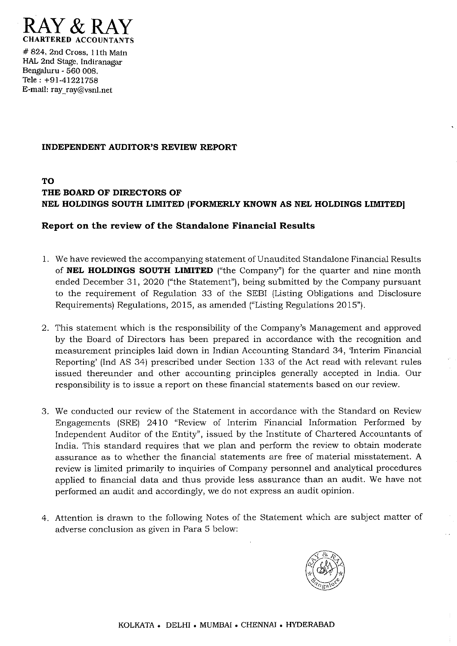

# 824, 2nd Cross, II th Main HAL 2nd Stage, Indlranagar Bengaluru - 560 008. Tele: +91-41221758 E-mail: ray  $ray@vsnl.net$ 

#### **INDEPENDENT AUDITOR'S REVIEW REPORT**

# **TO THE BOARD OF DIRECTORS OF NEL HOLDINGS SOUTH LIMITED (FORMERLY KNOWN AS NEL HOLDINGS LIMITED]**

### **Report on the review of the Standalone Financial Results**

- 1. We have reviewed the accompanying statement of Unaudited Standalone Financial Results of **NEL HOLDINGS SOUTH LIMITED** ("the Company") for the quarter and nine month ended December 31,2020 ("the Statement"), being submitted by the Company pursuant to the requirement of Regulation 33 of the SEBI (Listing Obligations and Disclosure Requirements) Regulations, 2015, as amended ("Listing Regulations 2015").
- 2. This statement which is the responsibility of the Company's Management and approved by the Board of Directors has been prepared in accordance with the recognition and measurement principles laid down in Indian Accounting Standard 34, 'Interim Financial Reporting' (Ind AS 34) prescribed under Section 133 of the Act read with relevant rules issued thereunder and other accounting principles generally accepted in India. Our responsibility is to issue a report on these financial statements based on our review.
- 3. We conducted our review of the Statement in accordance with the Standard on Review Engagements (SRE) 2410 "Review of Interim Financial Information Performed by Independent Auditor of the Entity", issued by the Institute of Chartered Accountants of India. This standard requires that we plan and perform the review to obtain moderate assurance as to whether the financial statements are free of material misstatement. A review is limited primarily to inquiries of Company personnel and analytical procedures applied to financial data and thus provide less assurance than an audit. We have not performed an audit and accordingly, we do not express an audit opinion.
- 4. Attention is drawn to the following Notes of the Statement which are subject matter of adverse conclusion as given in Para 5 below:

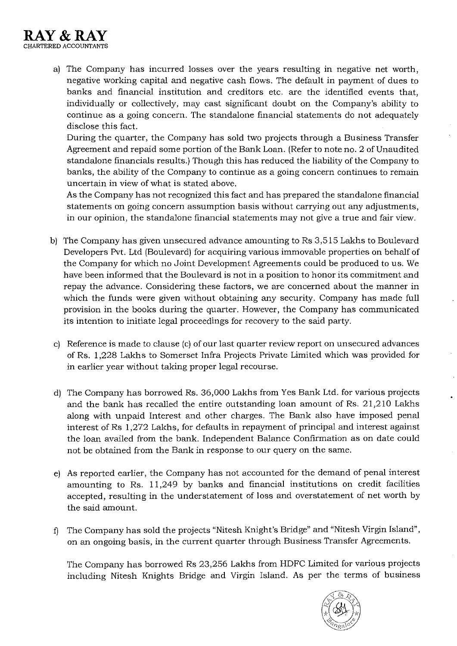

a) The Company has incurred losses over the years resulting in negative net worth, negative working capital and negative cash flows. The default in payment of dues to banks and financial institution and creditors etc. are the identified events that, individually or collectively, may cast significant doubt on the Company's ability to continue as a going concern. The standalone financial statements do not adequately disclose this fact.

During the quarter, the Company has sold two projects through a Business Transfer Agreement and repaid some portion of the Bank Loan. (Refer to note no. 2 of Unaudited standalone financials results.) Though this has reduced the liability of the Company to banks, the ability of the Company to continue as a going concern continues to remain uncertain in view of what is stated above.

As the Company has not recognized this fact and has prepared the standalone financial statements on going concern assumption basis without carrying out any adjustments, in our opinion, the standalone financial statements may not give a true and fair view.

- b) The Company has given unsecured advance amounting to Rs 3,515 Lakhs to Boulevard Developers Pvt. Ltd (Boulevard) for acquiring various immovable properties on behalf of the Company for which no Joint Development Agreements could be produced to us. We have been informed that the Boulevard is not in a position to honor its commitment and repay the advance. Considering these factors, we are concerned about the manner in which the funds were given without obtaining any security. Company has made full provision in the books during the quarter. However, the Company has communicated its intention to initiate legal proceedings for recovery to the said party.
- c) Reference is made to clause (c) of our last quarter review report on unsecured advances of Rs. 1,228 Lakhs to Somerset Infra Projects Private Limited which was provided for in earlier year without taking proper legal recourse.
- d) The Company has borrowed Rs. 36,000 Lakhs from Yes Bank Ltd. for various projects and the bank has recalled the entire outstanding loan amount of Rs. 21,210 Lakhs along with unpaid Interest and other charges. The Bank also have imposed penal interest of Rs 1,272 Lakhs, for defaults in repayment of principal and interest against the loan availed from the bank. Independent Balance Confirmation as on date could not be obtained from the Bank in response to our query on the same.
- e) As reported earlier, the Company has not accounted for the demand of penal interest amounting to Rs. **11,249** by banks and financial institutions on credit facilities accepted, resulting in the understatement of loss and overstatement of net worth by the said amount.
- f) The Company has sold the projects "Nitesh Knight's Bridge" and "Nitesh Virgin Island", on an ongoing basis, in the current quarter through Business Transfer Agreements.

The Company has borrowed Rs 23,256 Lakhs from HDFC Limited for various projects including Nitesh Knights Bridge and Virgin Island. As per the terms of business

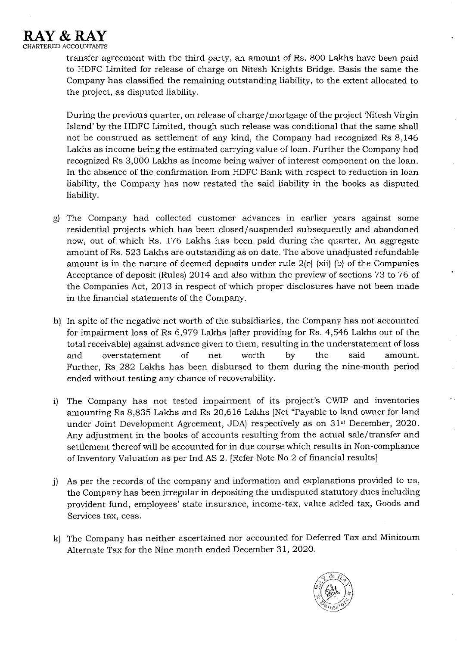

transfer agreement with the third party, an amount of Rs. 800 Lakhs have been paid to HDFC Limited for release of charge on Nitesh Knights Bridge. Basis the same the Company has classified the remaining outstanding liability, to the extent allocated to the project, as disputed liability.

During the previous quarter, on release of charge/mortgage of the project 'Nitesh Virgin Island' by the HDFC Limited, though such release was conditional that the same shall not be construed as settlement of any kind, the Company had recognized Rs 8,146 Lakhs as income being the estimated carrying value of loan. Further the Company had recognized Rs 3,000 Lakhs as income being waiver of interest component on the loan. In the absence of the confirmation from HDFC Bank with respect to reduction in loan liability, the Company has now restated the said liability in the books as disputed liability.

- g) The Company had collected customer advances in earlier years against some residential projects which has been closed/suspended subsequently and abandoned now, out of which Rs. 176 Lakhs has been paid during the quarter. An aggregate amount of Rs. 523 Lakhs are outstanding as on date. The above unadjusted refundable amount is in the nature of deemed deposits under rule 2(c) (xii) (b) of the Companies Acceptance of deposit (Rules) 2014 and *also* within the preview of sections 73 to 76 of the Companies Act, 2013 in respect of which proper disclosures have not been made in the financial statements of the Company.
- h) In spite of the negative net worth of the subsidiaries, the Company has not accounted for impairment loss of Rs 6,979 Lakhs (after providing for Rs. 4,546 Lakhs out of the total receivable) against advance given to them, resulting in the understatement ofloss and overstatement of net worth by the said amount. Further, Rs 282 Lakhs has been disbursed to them during the nine-month period ended without testing any chance of recoverability.
- i) The Company has not tested impairment of its project's CWIP and inventories amounting Rs 8,835 Lakhs and Rs 20,616 Lakhs [Net "Payable to land owner for land under Joint Development Agreement, JDA) respectively as on 31st December, 2020. Any adjustment in the books of accounts resulting from the actual sale/transfer and settlement thereof will be accounted for in due course which results in Non-compliance of Inventory Valuation as per Ind AS 2. [Refer Note No 2 of financial results]
- j) As per the records of the company and information and explanations provided to us, the Company has been irregular in depositing the undisputed statutory dues including provident fund, employees' state insurance, income-tax, value added tax, Goods and Services tax, cess.
- k) The Company has neither ascertained nor accounted for Deferred Tax and Minimum Alternate Tax for the Nine month ended December 31, 2020.